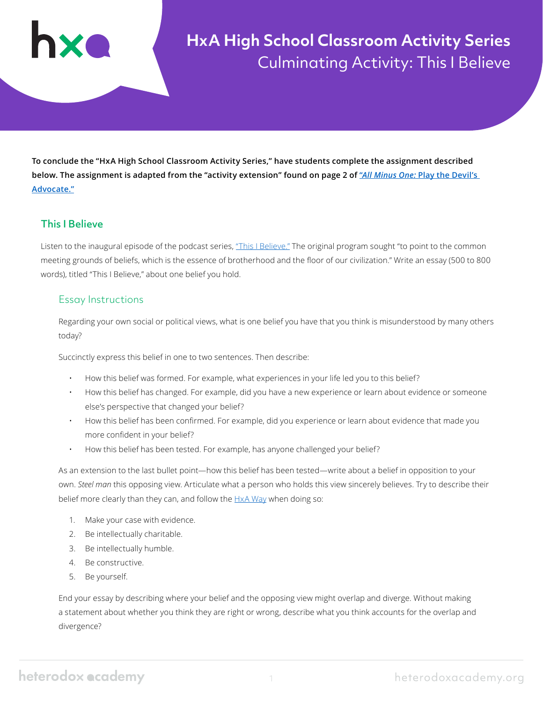

# **HxA High School Classroom Activity Series** Culminating Activity: This I Believe

**To conclude the "HxA High School Classroom Activity Series," have students complete the assignment described below. The assignment is adapted from the "activity extension" found on page 2 of "***All Minus One:* **[Play the Devil's](https://heterodoxacademy.org/wp-content/uploads/2021/01/All-Minus-One-Classroom-Activity-Playing-the-Devils-Advocate.pdf)  [Advocate."](https://heterodoxacademy.org/wp-content/uploads/2021/01/All-Minus-One-Classroom-Activity-Playing-the-Devils-Advocate.pdf)**

### This I Believe

Listen to the inaugural episode of the podcast series, ["This I Believe."](https://www.npr.org/templates/story/story.php?storyId=4567252) The original program sought "to point to the common meeting grounds of beliefs, which is the essence of brotherhood and the floor of our civilization." Write an essay (500 to 800 words), titled "This I Believe," about one belief you hold.

#### Essay Instructions

Regarding your own social or political views, what is one belief you have that you think is misunderstood by many others today?

Succinctly express this belief in one to two sentences. Then describe:

- How this belief was formed. For example, what experiences in your life led you to this belief?
- How this belief has changed. For example, did you have a new experience or learn about evidence or someone else's perspective that changed your belief?
- How this belief has been confirmed. For example, did you experience or learn about evidence that made you more confident in your belief?
- How this belief has been tested. For example, has anyone challenged your belief?

As an extension to the last bullet point—how this belief has been tested—write about a belief in opposition to your own. *Steel man* this opposing view. Articulate what a person who holds this view sincerely believes. Try to describe their belief more clearly than they can, and follow the **HxA Way** when doing so:

- 1. Make your case with evidence.
- 2. Be intellectually charitable.
- 3. Be intellectually humble.
- 4. Be constructive.
- 5. Be yourself.

End your essay by describing where your belief and the opposing view might overlap and diverge. Without making a statement about whether you think they are right or wrong, describe what you think accounts for the overlap and divergence?